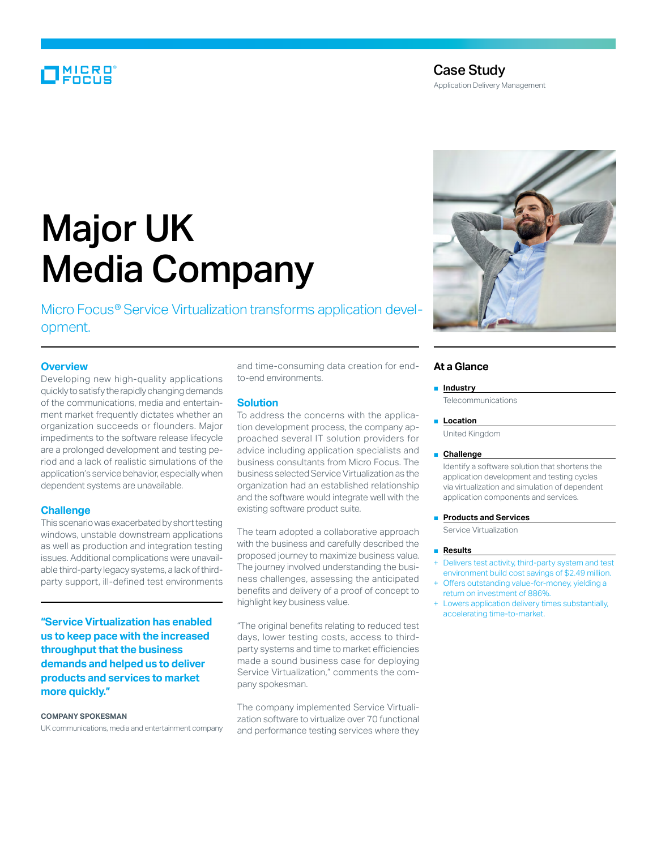# MICRO<br>Encus

### Case Study

Application Delivery Management

# Major UK Media Company

Micro Focus® Service Virtualization transforms application development.

#### **Overview**

Developing new high-quality applications quickly to satisfy the rapidly changing demands of the communications, media and entertainment market frequently dictates whether an organization succeeds or flounders. Major impediments to the software release lifecycle are a prolonged development and testing period and a lack of realistic simulations of the application's service behavior, especially when dependent systems are unavailable.

#### **Challenge**

This scenario was exacerbated by short testing windows, unstable downstream applications as well as production and integration testing issues. Additional complications were unavailable third-party legacy systems, a lack of thirdparty support, ill-defined test environments

**"Service Virtualization has enabled us to keep pace with the increased throughput that the business demands and helped us to deliver products and services to market more quickly."**

#### **Company spokesman**

UK communications, media and entertainment company

and time-consuming data creation for endto-end environments.

#### **Solution**

To address the concerns with the application development process, the company approached several IT solution providers for advice including application specialists and business consultants from Micro Focus. The business selected Service Virtualization as the organization had an established relationship and the software would integrate well with the existing software product suite.

The team adopted a collaborative approach with the business and carefully described the proposed journey to maximize business value. The journey involved understanding the business challenges, assessing the anticipated benefits and delivery of a proof of concept to highlight key business value.

"The original benefits relating to reduced test days, lower testing costs, access to thirdparty systems and time to market efficiencies made a sound business case for deploying Service Virtualization," comments the company spokesman.

The company implemented Service Virtualization software to virtualize over 70 functional and performance testing services where they



#### **At a Glance**

■ **Industry** 

**Telecommunications** 

#### ■ **Location**

United Kingdom

#### ■ **Challenge**

Identify a software solution that shortens the application development and testing cycles via virtualization and simulation of dependent application components and services.

#### **Products and Services**

Service Virtualization

#### ■ **Results**

- Delivers test activity, third-party system and test environment build cost savings of \$2.49 million.
- Offers outstanding value-for-money, yielding a return on investment of 886%.
- Lowers application delivery times substantially, accelerating time-to-market.